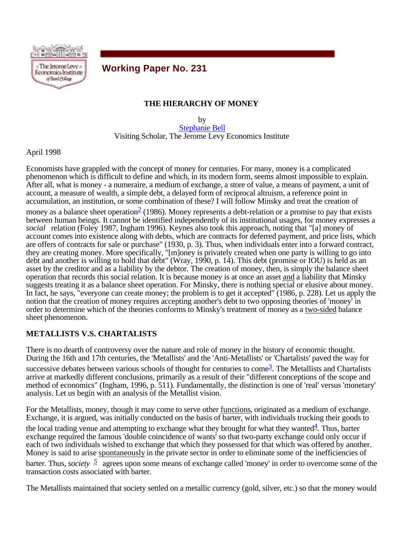

 **Working Paper No. 231** 

## **THE HIERARCHY OF MONEY**

by Stephanie Bell Visiting Scholar, The Jerome Levy Economics Institute

April 1998

Economists have grappled with the concept of money for centuries. For many, money is a complicated phenomenon which is difficult to define and which, in its modern form, seems almost impossible to explain. After all, what is money - a numeraire, a medium of exchange, a store of value, a means of payment, a unit of account, a measure of wealth, a simple debt, a delayed form of reciprocal altruism, a reference point in accumulation, an institution, or some combination of these? I will follow Minsky and treat the creation of

money as a balance sheet operation<sup>2</sup> (1986). Money represents a debt-relation or a promise to pay that exists between human beings. It cannot be identified independently of its institutional usages, for money expresses a *social* relation (Foley 1987, Ingham 1996). Keynes also took this approach, noting that "[a] money of account comes into existence along with debts, which are contracts for deferred payment, and price lists, which are offers of contracts for sale or purchase" (1930, p. 3). Thus, when individuals enter into a forward contract, they are creating money. More specifically, "[m]oney is privately created when one party is willing to go into debt and another is willing to hold that debt" (Wray, 1990, p. 14). This debt (promise or IOU) is held as an asset by the creditor and as a liability by the debtor. The creation of money, then, is simply the balance sheet operation that records this social relation. It is because money is at once an asset and a liability that Minsky suggests treating it as a balance sheet operation. For Minsky, there is nothing special or elusive about money. In fact, he says, "everyone can create money; the problem is to get it accepted" (1986, p. 228). Let us apply the notion that the creation of money requires accepting another's debt to two opposing theories of 'money' in order to determine which of the theories conforms to Minsky's treatment of money as a two-sided balance sheet phenomenon.

# **METALLISTS V.S. CHARTALISTS**

There is no dearth of controversy over the nature and role of money in the history of economic thought. During the 16th and 17th centuries, the 'Metallists' and the 'Anti-Metallists' or 'Chartalists' paved the way for

successive debates between various schools of thought for centuries to come<sup>3</sup>. The Metallists and Chartalists arrive at markedly different conclusions, primarily as a result of their "different conceptions of the scope and method of economics" (Ingham, 1996, p. 511). Fundamentally, the distinction is one of 'real' versus 'monetary' analysis. Let us begin with an analysis of the Metallist vision.

For the Metallists, money, though it may come to serve other functions, originated as a medium of exchange. Exchange, it is argued, was initially conducted on the basis of barter, with individuals trucking their goods to

the local trading venue and attempting to exchange what they brought for what they wanted 4. Thus, barter exchange required the famous 'double coincidence of wants' so that two-party exchange could only occur if each of two individuals wished to exchange that which they possessed for that which was offered by another. Money is said to arise spontaneously in the private sector in order to eliminate some of the inefficiencies of

barter. Thus, *society <sup>5</sup>* agrees upon some means of exchange called 'money' in order to overcome some of the transaction costs associated with barter.

The Metallists maintained that society settled on a metallic currency (gold, silver, etc.) so that the money would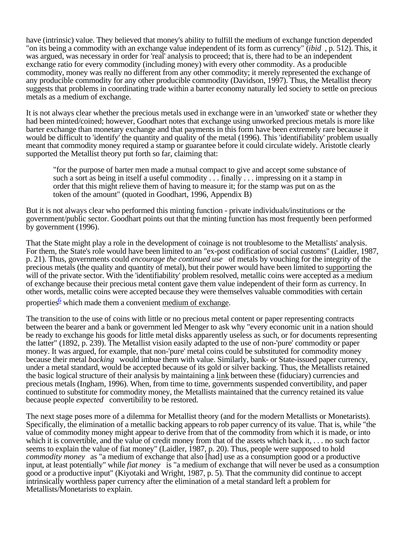have (intrinsic) value. They believed that money's ability to fulfill the medium of exchange function depended "on its being a commodity with an exchange value independent of its form as currency" (*ibid* , p. 512). This, it was argued, was necessary in order for 'real' analysis to proceed; that is, there had to be an independent exchange ratio for every commodity (including money) with every other commodity. As a producible commodity, money was really no different from any other commodity; it merely represented the exchange of any producible commodity for any other producible commodity (Davidson, 1997). Thus, the Metallist theory suggests that problems in coordinating trade within a barter economy naturally led society to settle on precious metals as a medium of exchange.

It is not always clear whether the precious metals used in exchange were in an 'unworked' state or whether they had been minted/coined; however, Goodhart notes that exchange using unworked precious metals is more like barter exchange than monetary exchange and that payments in this form have been extremely rare because it would be difficult to 'identify' the quantity and quality of the metal (1996). This 'identifiability' problem usually meant that commodity money required a stamp or guarantee before it could circulate widely. Aristotle clearly supported the Metallist theory put forth so far, claiming that:

"for the purpose of barter men made a mutual compact to give and accept some substance of such a sort as being in itself a useful commodity . . . finally . . . impressing on it a stamp in order that this might relieve them of having to measure it; for the stamp was put on as the token of the amount" (quoted in Goodhart, 1996, Appendix B)

But it is not always clear who performed this minting function - private individuals/institutions or the government/public sector. Goodhart points out that the minting function has most frequently been performed by government (1996).

That the State might play a role in the development of coinage is not troublesome to the Metallists' analysis. For them, the State's role would have been limited to an "ex-post codification of social customs" (Laidler, 1987, p. 21). Thus, governments could *encourage the continued use* of metals by vouching for the integrity of the precious metals (the quality and quantity of metal), but their power would have been limited to supporting the will of the private sector. With the 'identifiability' problem resolved, metallic coins were accepted as a medium of exchange because their precious metal content gave them value independent of their form as currency. In other words, metallic coins were accepted because they were themselves valuable commodities with certain

properties<sup>6</sup> which made them a convenient medium of exchange.

The transition to the use of coins with little or no precious metal content or paper representing contracts between the bearer and a bank or government led Menger to ask why "every economic unit in a nation should be ready to exchange his goods for little metal disks apparently useless as such, or for documents representing the latter" (1892, p. 239). The Metallist vision easily adapted to the use of non-'pure' commodity or paper money. It was argued, for example, that non-'pure' metal coins could be substituted for commodity money because their metal *backing* would imbue them with value. Similarly, bank- or State-issued paper currency, under a metal standard, would be accepted because of its gold or silver backing. Thus, the Metallists retained the basic logical structure of their analysis by maintaining a link between these (fiduciary) currencies and precious metals (Ingham, 1996). When, from time to time, governments suspended convertibility, and paper continued to substitute for commodity money, the Metallists maintained that the currency retained its value because people *expected* convertibility to be restored.

The next stage poses more of a dilemma for Metallist theory (and for the modern Metallists or Monetarists). Specifically, the elimination of a metallic backing appears to rob paper currency of its value. That is, while "the value of commodity money might appear to derive from that of the commodity from which it is made, or into which it is convertible, and the value of credit money from that of the assets which back it, . . . no such factor seems to explain the value of fiat money" (Laidler, 1987, p. 20). Thus, people were supposed to hold *commodity money* as "a medium of exchange that also [had] use as a consumption good or a productive input, at least potentially" while *fiat money* is "a medium of exchange that will never be used as a consumption good or a productive input" (Kiyotaki and Wright, 1987, p. 5). That the community did continue to accept intrinsically worthless paper currency after the elimination of a metal standard left a problem for Metallists/Monetarists to explain.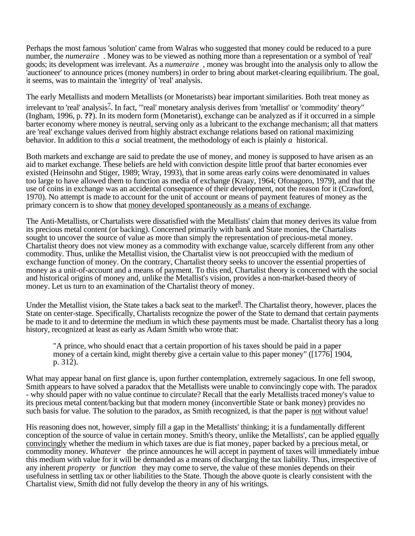Perhaps the most famous 'solution' came from Walras who suggested that money could be reduced to a pure number, the *numeraire* . Money was to be viewed as nothing more than a representation or a symbol of 'real' goods; its development was irrelevant. As a *numeraire* , money was brought into the analysis only to allow the 'auctioneer' to announce prices (money numbers) in order to bring about market-clearing equilibrium. The goal, it seems, was to maintain the 'integrity' of 'real' analysis.

The early Metallists and modern Metallists (or Monetarists) bear important similarities. Both treat money as irrelevant to 'real' analysis<sup>7</sup>. In fact, "'real' monetary analysis derives from 'metallist' or 'commodity' theory" (Ingham, 1996, p. **??**). In its modern form (Monetarist), exchange can be analyzed as if it occurred in a simple barter economy where money is neutral, serving only as a lubricant to the exchange mechanism; all that matters are 'real' exchange values derived from highly abstract exchange relations based on rational maximizing behavior. In addition to this *a* social treatment, the methodology of each is plainly *a* historical.

Both markets and exchange are said to predate the use of money, and money is supposed to have arisen as an aid to market exchange. These beliefs are held with conviction despite little proof that barter economies ever existed (Heinsohn and Stiger, 1989; Wray, 1993), that in some areas early coins were denominated in values too large to have allowed them to function as media of exchange (Kraay, 1964; Ofonagoro, 1979), and that the use of coins in exchange was an accidental consequence of their development, not the reason for it (Crawford, 1970). No attempt is made to account for the unit of account or means of payment features of money as the primary concern is to show that money developed spontaneously as a means of exchange.

The Anti-Metallists, or Chartalists were dissatisfied with the Metallists' claim that money derives its value from its precious metal content (or backing). Concerned primarily with bank and State monies, the Chartalists sought to uncover the source of value as more than simply the representation of precious-metal money. Chartalist theory does not view money as a commodity with exchange value, scarcely different from any other commodity. Thus, unlike the Metallist vision, the Chartalist view is not preoccupied with the medium of exchange function of money. On the contrary, Chartalist theory seeks to uncover the essential properties of money as a unit-of-account and a means of payment. To this end, Chartalist theory is concerned with the social and historical origins of money and, unlike the Metallist's vision, provides a non-market-based theory of money. Let us turn to an examination of the Chartalist theory of money.

Under the Metallist vision, the State takes a back seat to the market<sup>8</sup>. The Chartalist theory, however, places the State on center-stage. Specifically, Chartalists recognize the power of the State to demand that certain payments be made to it and to determine the medium in which these payments must be made. Chartalist theory has a long history, recognized at least as early as Adam Smith who wrote that:

"A prince, who should enact that a certain proportion of his taxes should be paid in a paper money of a certain kind, might thereby give a certain value to this paper money" ([1776] 1904, p. 312).

What may appear banal on first glance is, upon further contemplation, extremely sagacious. In one fell swoop, Smith appears to have solved a paradox that the Metallists were unable to convincingly cope with. The paradox - why should paper with no value continue to circulate? Recall that the early Metallists traced money's value to its precious metal content/backing but that modern money (inconvertible State or bank money) provides no such basis for value. The solution to the paradox, as Smith recognized, is that the paper is not without value!

His reasoning does not, however, simply fill a gap in the Metallists' thinking; it is a fundamentally different conception of the source of value in certain money. Smith's theory, unlike the Metallists', can be applied equally convincingly whether the medium in which taxes are due is fiat money, paper backed by a precious metal, or commodity money. *Whatever* the prince announces he will accept in payment of taxes will immediately imbue this medium with value for it will be demanded as a means of discharging the tax liability. Thus, irrespective of any inherent *property* or *function* they may come to serve, the value of these monies depends on their usefulness in settling tax or other liabilities to the State. Though the above quote is clearly consistent with the Chartalist view, Smith did not fully develop the theory in any of his writings.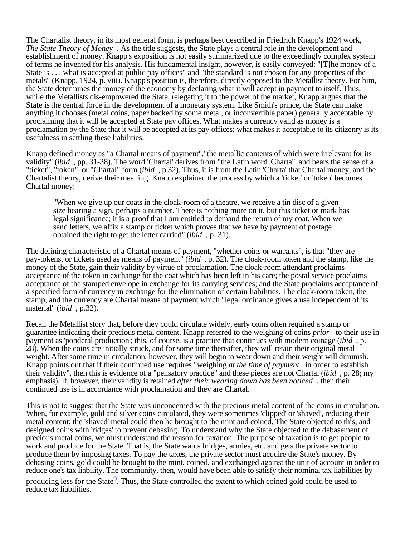The Chartalist theory, in its most general form, is perhaps best described in Friedrich Knapp's 1924 work, *The State Theory of Money* . As the title suggests, the State plays a central role in the development and establishment of money. Knapp's exposition is not easily summarized due to the exceedingly complex system of terms he invented for his analysis. His fundamental insight, however, is easily conveyed: "[T]he money of a State is . . . what is accepted at public pay offices" and "the standard is not chosen for any properties of the metals" (Knapp, 1924, p. viii). Knapp's position is, therefore, directly opposed to the Metallist theory. For him, the State determines the money of the economy by declaring what it will accept in payment to itself. Thus, while the Metallists dis-empowered the State, relegating it to the power of the market, Knapp argues that the State is the central force in the development of a monetary system. Like Smith's prince, the State can make anything it chooses (metal coins, paper backed by some metal, or inconvertible paper) generally acceptable by proclaiming that it will be accepted at State pay offices. What makes a currency valid as money is a proclamation by the State that it will be accepted at its pay offices; what makes it acceptable to its citizenry is its usefulness in settling these liabilities.

Knapp defined money as "a Chartal means of payment","the metallic contents of which were irrelevant for its validity" (*ibid* , pp. 31-38). The word 'Chartal' derives from "the Latin word 'Charta'" and bears the sense of a "ticket", "token", or "Chartal" form (*ibid* , p.32). Thus, it is from the Latin 'Charta' that Chartal money, and the Chartalist theory, derive their meaning. Knapp explained the process by which a 'ticket' or 'token' becomes Chartal money:

"When we give up our coats in the cloak-room of a theatre, we receive a tin disc of a given size bearing a sign, perhaps a number. There is nothing more on it, but this ticket or mark has legal significance; it is a proof that I am entitled to demand the return of my coat. When we send letters, we affix a stamp or ticket which proves that we have by payment of postage obtained the right to get the letter carried" (*ibid* , p. 31).

The defining characteristic of a Chartal means of payment, "whether coins or warrants", is that "they are pay-tokens, or tickets used as means of payment" (*ibid* , p. 32). The cloak-room token and the stamp, like the money of the State, gain their validity by virtue of proclamation. The cloak-room attendant proclaims acceptance of the token in exchange for the coat which has been left in his care; the postal service proclaims acceptance of the stamped envelope in exchange for its carrying services; and the State proclaims acceptance of a specified form of currency in exchange for the elimination of certain liabilities. The cloak-room token, the stamp, and the currency are Chartal means of payment which "legal ordinance gives a use independent of its material" (*ibid* , p.32).

Recall the Metallist story that, before they could circulate widely, early coins often required a stamp or guarantee indicating their precious metal content. Knapp referred to the weighing of coins *prior* to their use in payment as 'ponderal production'; this, of course, is a practice that continues with modern coinage (*ibid* , p. 28). When the coins are initially struck, and for some time thereafter, they will retain their original metal weight. After some time in circulation, however, they will begin to wear down and their weight will diminish. Knapp points out that if their continued use requires "weighing *at the time of payment* in order to establish their validity", then this is evidence of a "pensatory practice" and these pieces are not Chartal (*ibid* , p. 28; my emphasis). If, however, their validity is retained *after their wearing down has been noticed* , then their continued use is in accordance with proclamation and they are Chartal.

This is not to suggest that the State was unconcerned with the precious metal content of the coins in circulation. When, for example, gold and silver coins circulated, they were sometimes 'clipped' or 'shaved', reducing their metal content; the 'shaved' metal could then be brought to the mint and coined. The State objected to this, and designed coins with 'ridges' to prevent debasing. To understand why the State objected to the debasement of precious metal coins, we must understand the reason for taxation. The purpose of taxation is to get people to work and produce for the State. That is, the State wants bridges, armies, etc. and gets the private sector to produce them by imposing taxes. To pay the taxes, the private sector must acquire the State's money. By debasing coins, gold could be brought to the mint, coined, and exchanged against the unit of account in order to reduce one's tax liability. The community, then, would have been able to satisfy their nominal tax liabilities by producing less for the State<sup>9</sup>. Thus, the State controlled the extent to which coined gold could be used to reduce tax liabilities.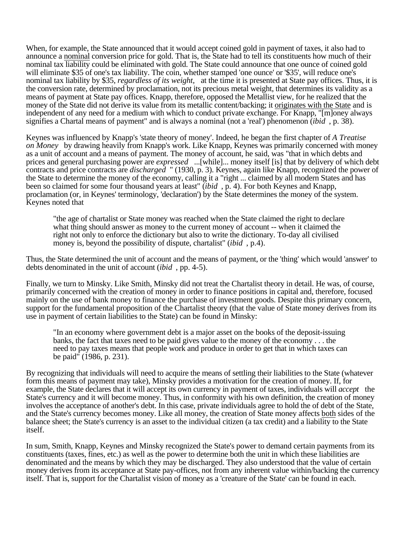When, for example, the State announced that it would accept coined gold in payment of taxes, it also had to announce a nominal conversion price for gold. That is, the State had to tell its constituents how much of their nominal tax liability could be eliminated with gold. The State could announce that one ounce of coined gold will eliminate \$35 of one's tax liability. The coin, whether stamped 'one ounce' or '\$35', will reduce one's nominal tax liability by \$35, *regardless of its weight,* at the time it is presented at State pay offices. Thus, it is the conversion rate, determined by proclamation, not its precious metal weight, that determines its validity as a means of payment at State pay offices. Knapp, therefore, opposed the Metallist view, for he realized that the money of the State did not derive its value from its metallic content/backing; it originates with the State and is independent of any need for a medium with which to conduct private exchange. For Knapp, "[m]oney always signifies a Chartal means of payment" and is always a nominal (not a 'real') phenomenon (*ibid* , p. 38).

Keynes was influenced by Knapp's 'state theory of money'. Indeed, he began the first chapter of *A Treatise on Money* by drawing heavily from Knapp's work. Like Knapp, Keynes was primarily concerned with money as a unit of account and a means of payment. The money of account, he said, was "that in which debts and prices and general purchasing power are *expressed* ...[while]... money itself [is] that by delivery of which debt contracts and price contracts are *discharged* " (1930, p. 3). Keynes, again like Knapp, recognized the power of the State to determine the money of the economy, calling it a "right ... claimed by all modern States and has been so claimed for some four thousand years at least" (*ibid* , p. 4). For both Keynes and Knapp, proclamation (or, in Keynes' terminology, 'declaration') by the State determines the money of the system. Keynes noted that

"the age of chartalist or State money was reached when the State claimed the right to declare what thing should answer as money to the current money of account -- when it claimed the right not only to enforce the dictionary but also to write the dictionary. To-day all civilised money is, beyond the possibility of dispute, chartalist" (*ibid* , p.4).

Thus, the State determined the unit of account and the means of payment, or the 'thing' which would 'answer' to debts denominated in the unit of account (*ibid* , pp. 4-5).

Finally, we turn to Minsky. Like Smith, Minsky did not treat the Chartalist theory in detail. He was, of course, primarily concerned with the creation of money in order to finance positions in capital and, therefore, focused mainly on the use of bank money to finance the purchase of investment goods. Despite this primary concern, support for the fundamental proposition of the Chartalist theory (that the value of State money derives from its use in payment of certain liabilities to the State) can be found in Minsky:

"In an economy where government debt is a major asset on the books of the deposit-issuing banks, the fact that taxes need to be paid gives value to the money of the economy . . . the need to pay taxes means that people work and produce in order to get that in which taxes can be paid" (1986, p. 231).

By recognizing that individuals will need to acquire the means of settling their liabilities to the State (whatever form this means of payment may take), Minsky provides a motivation for the creation of money. If, for example, the State declares that it will accept its own currency in payment of taxes, individuals will *accept* the State's currency and it will become money. Thus, in conformity with his own definition, the creation of money involves the acceptance of another's debt. In this case, private individuals agree to hold the of debt of the State, and the State's currency becomes money. Like all money, the creation of State money affects both sides of the balance sheet; the State's currency is an asset to the individual citizen (a tax credit) and a liability to the State itself.

In sum, Smith, Knapp, Keynes and Minsky recognized the State's power to demand certain payments from its constituents (taxes, fines, etc.) as well as the power to determine both the unit in which these liabilities are denominated and the means by which they may be discharged. They also understood that the value of certain money derives from its acceptance at State pay-offices, not from any inherent value within/backing the currency itself. That is, support for the Chartalist vision of money as a 'creature of the State' can be found in each.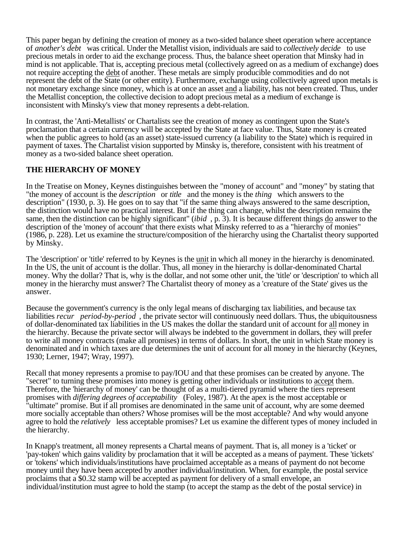This paper began by defining the creation of money as a two-sided balance sheet operation where acceptance of *another's debt* was critical. Under the Metallist vision, individuals are said to *collectively decide* to use precious metals in order to aid the exchange process. Thus, the balance sheet operation that Minsky had in mind is not applicable. That is, accepting precious metal (collectively agreed on as a medium of exchange) does not require accepting the debt of another. These metals are simply producible commodities and do not represent the debt of the State (or other entity). Furthermore, exchange using collectively agreed upon metals is not monetary exchange since money, which is at once an asset and a liability, has not been created. Thus, under the Metallist conception, the collective decision to adopt precious metal as a medium of exchange is inconsistent with Minsky's view that money represents a debt-relation.

In contrast, the 'Anti-Metallists' or Chartalists see the creation of money as contingent upon the State's proclamation that a certain currency will be accepted by the State at face value. Thus, State money is created when the public agrees to hold (as an asset) state-issued currency (a liability to the State) which is required in payment of taxes. The Chartalist vision supported by Minsky is, therefore, consistent with his treatment of money as a two-sided balance sheet operation.

### **THE HIERARCHY OF MONEY**

In the Treatise on Money, Keynes distinguishes between the "money of account" and "money" by stating that "the money of account is the *description* or *title* and the money is the *thing* which answers to the description" (1930, p. 3). He goes on to say that "if the same thing always answered to the same description, the distinction would have no practical interest. But if the thing can change, whilst the description remains the same, then the distinction can be highly significant" (*ibid* , p. 3). It is because different things do answer to the description of the 'money of account' that there exists what Minsky referred to as a "hierarchy of monies" (1986, p. 228). Let us examine the structure/composition of the hierarchy using the Chartalist theory supported by Minsky.

The 'description' or 'title' referred to by Keynes is the unit in which all money in the hierarchy is denominated. In the US, the unit of account is the dollar. Thus, all money in the hierarchy is dollar-denominated Chartal money. Why the dollar? That is, why is the dollar, and not some other unit, the 'title' or 'description' to which all money in the hierarchy must answer? The Chartalist theory of money as a 'creature of the State' gives us the answer.

Because the government's currency is the only legal means of discharging tax liabilities, and because tax liabilities *recur period-by-period* , the private sector will continuously need dollars. Thus, the ubiquitousness of dollar-denominated tax liabilities in the US makes the dollar the standard unit of account for all money in the hierarchy. Because the private sector will always be indebted to the government in dollars, they will prefer to write all money contracts (make all promises) in terms of dollars. In short, the unit in which State money is denominated and in which taxes are due determines the unit of account for all money in the hierarchy (Keynes, 1930; Lerner, 1947; Wray, 1997).

Recall that money represents a promise to pay/IOU and that these promises can be created by anyone. The "secret" to turning these promises into money is getting other individuals or institutions to accept them. Therefore, the 'hierarchy of money' can be thought of as a multi-tiered pyramid where the tiers represent promises with *differing degrees of acceptability* (Foley, 1987). At the apex is the most acceptable or "ultimate" promise. But if all promises are denominated in the same unit of account, why are some deemed more socially acceptable than others? Whose promises will be the most acceptable? And why would anyone agree to hold the *relatively* less acceptable promises? Let us examine the different types of money included in the hierarchy.

In Knapp's treatment, all money represents a Chartal means of payment. That is, all money is a 'ticket' or 'pay-token' which gains validity by proclamation that it will be accepted as a means of payment. These 'tickets' or 'tokens' which individuals/institutions have proclaimed acceptable as a means of payment do not become money until they have been accepted by another individual/institution. When, for example, the postal service proclaims that a \$0.32 stamp will be accepted as payment for delivery of a small envelope, an individual/institution must agree to hold the stamp (to accept the stamp as the debt of the postal service) in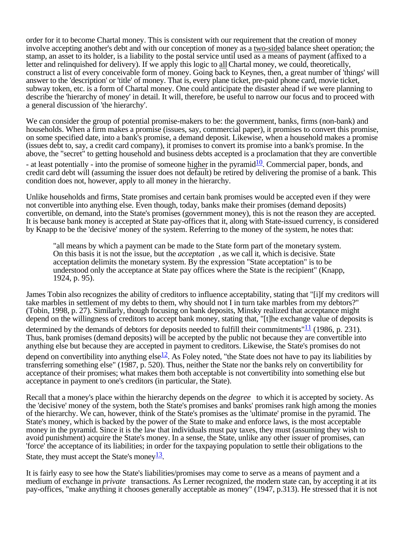order for it to become Chartal money. This is consistent with our requirement that the creation of money involve accepting another's debt and with our conception of money as a two-sided balance sheet operation; the stamp, an asset to its holder, is a liability to the postal service until used as a means of payment (affixed to a letter and relinquished for delivery). If we apply this logic to all Chartal money, we could, theoretically, construct a list of every conceivable form of money. Going back to Keynes, then, a great number of 'things' will answer to the 'description' or 'title' of money. That is, every plane ticket, pre-paid phone card, movie ticket, subway token, etc. is a form of Chartal money. One could anticipate the disaster ahead if we were planning to describe the 'hierarchy of money' in detail. It will, therefore, be useful to narrow our focus and to proceed with a general discussion of 'the hierarchy'.

We can consider the group of potential promise-makers to be: the government, banks, firms (non-bank) and households. When a firm makes a promise (issues, say, commercial paper), it promises to convert this promise, on some specified date, into a bank's promise, a demand deposit. Likewise, when a household makes a promise (issues debt to, say, a credit card company), it promises to convert its promise into a bank's promise. In the above, the "secret" to getting household and business debts accepted is a proclamation that they are convertible - at least potentially - into the promise of someone higher in the pyramid $10$ . Commercial paper, bonds, and credit card debt will (assuming the issuer does not default) be retired by delivering the promise of a bank. This condition does not, however, apply to all money in the hierarchy.

Unlike households and firms, State promises and certain bank promises would be accepted even if they were not convertible into anything else. Even though, today, banks make their promises (demand deposits) convertible, on demand, into the State's promises (government money), this is not the reason they are accepted. It is because bank money is accepted at State pay-offices that it, along with State-issued currency, is considered by Knapp to be the 'decisive' money of the system. Referring to the money of the system, he notes that:

"all means by which a payment can be made to the State form part of the monetary system. On this basis it is not the issue, but the *acceptation* , as we call it, which is decisive. State acceptation delimits the monetary system. By the expression "State acceptation" is to be understood only the acceptance at State pay offices where the State is the recipient" (Knapp, 1924, p. 95).

James Tobin also recognizes the ability of creditors to influence acceptability, stating that "[i]f my creditors will take marbles in settlement of my debts to them, why should not I in turn take marbles from my debtors?" (Tobin, 1998, p. 27). Similarly, though focusing on bank deposits, Minsky realized that acceptance might depend on the willingness of creditors to accept bank money, stating that, "[t]he exchange value of deposits is determined by the demands of debtors for deposits needed to fulfill their commitments" $\frac{11}{11}$  (1986, p. 231). Thus, bank promises (demand deposits) will be accepted by the public not because they are convertible into anything else but because they are accepted in payment to creditors. Likewise, the State's promises do not depend on convertibility into anything else<sup>12</sup>. As Foley noted, "the State does not have to pay its liabilities by transferring something else" (1987, p. 520). Thus, neither the State nor the banks rely on convertibility for acceptance of their promises; what makes them both acceptable is not convertibility into something else but acceptance in payment to one's creditors (in particular, the State).

Recall that a money's place within the hierarchy depends on the *degree* to which it is accepted by society. As the 'decisive' money of the system, both the State's promises and banks' promises rank high among the monies of the hierarchy. We can, however, think of the State's promises as the 'ultimate' promise in the pyramid. The State's money, which is backed by the power of the State to make and enforce laws, is the most acceptable money in the pyramid. Since it is the law that individuals must pay taxes, they must (assuming they wish to avoid punishment) acquire the State's money. In a sense, the State, unlike any other issuer of promises, can 'force' the acceptance of its liabilities; in order for the taxpaying population to settle their obligations to the State, they must accept the State's money $\frac{13}{1}$ .

It is fairly easy to see how the State's liabilities/promises may come to serve as a means of payment and a medium of exchange in *private* transactions. As Lerner recognized, the modern state can, by accepting it at its pay-offices, "make anything it chooses generally acceptable as money" (1947, p.313). He stressed that it is not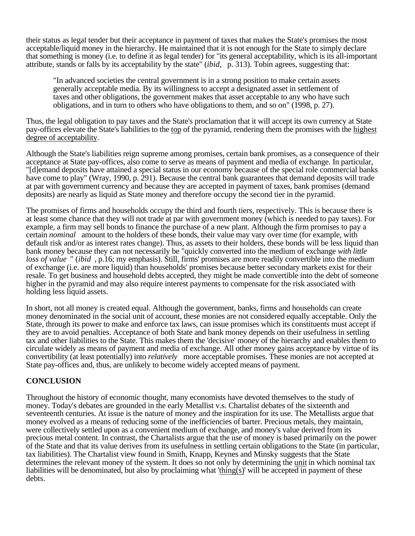their status as legal tender but their acceptance in payment of taxes that makes the State's promises the most acceptable/liquid money in the hierarchy. He maintained that it is not enough for the State to simply declare that something is money (i.e. to define it as legal tender) for "its general acceptability, which is its all-important attribute, stands or falls by its acceptability by the state" (*ibid,* p. 313). Tobin agrees, suggesting that:

"In advanced societies the central government is in a strong position to make certain assets generally acceptable media. By its willingness to accept a designated asset in settlement of taxes and other obligations, the government makes that asset acceptable to any who have such obligations, and in turn to others who have obligations to them, and so on" (1998, p. 27).

Thus, the legal obligation to pay taxes and the State's proclamation that it will accept its own currency at State pay-offices elevate the State's liabilities to the top of the pyramid, rendering them the promises with the highest degree of acceptability.

Although the State's liabilities reign supreme among promises, certain bank promises, as a consequence of their acceptance at State pay-offices, also come to serve as means of payment and media of exchange. In particular, "[d]emand deposits have attained a special status in our economy because of the special role commercial banks have come to play" (Wray, 1990, p. 291). Because the central bank guarantees that demand deposits will trade at par with government currency and because they are accepted in payment of taxes, bank promises (demand deposits) are nearly as liquid as State money and therefore occupy the second tier in the pyramid.

The promises of firms and households occupy the third and fourth tiers, respectively. This is because there is at least some chance that they will not trade at par with government money (which is needed to pay taxes). For example, a firm may sell bonds to finance the purchase of a new plant. Although the firm promises to pay a certain *nominal* amount to the holders of these bonds, their value may vary over time (for example, with default risk and/or as interest rates change). Thus, as assets to their holders, these bonds will be less liquid than bank money because they can not necessarily be "quickly converted into the medium of exchange *with little loss of value* " (*ibid* , p.16; my emphasis). Still, firms' promises are more readily convertible into the medium of exchange (i.e. are more liquid) than households' promises because better secondary markets exist for their resale. To get business and household debts accepted, they might be made convertible into the debt of someone higher in the pyramid and may also require interest payments to compensate for the risk associated with holding less liquid assets.

In short, not all money is created equal. Although the government, banks, firms and households can create money denominated in the social unit of account, these monies are not considered equally acceptable. Only the State, through its power to make and enforce tax laws, can issue promises which its constituents must accept if they are to avoid penalties. Acceptance of both State and bank money depends on their usefulness in settling tax and other liabilities to the State. This makes them the 'decisive' money of the hierarchy and enables them to circulate widely as means of payment and media of exchange. All other money gains acceptance by virtue of its convertibility (at least potentially) into *relatively* more acceptable promises. These monies are not accepted at State pay-offices and, thus, are unlikely to become widely accepted means of payment.

### **CONCLUSION**

Throughout the history of economic thought, many economists have devoted themselves to the study of money. Today's debates are grounded in the early Metallist v.s. Chartalist debates of the sixteenth and seventeenth centuries. At issue is the nature of money and the inspiration for its use. The Metallists argue that money evolved as a means of reducing some of the inefficiencies of barter. Precious metals, they maintain, were collectively settled upon as a convenient medium of exchange, and money's value derived from its precious metal content. In contrast, the Chartalists argue that the use of money is based primarily on the power of the State and that its value derives from its usefulness in settling certain obligations to the State (in particular, tax liabilities). The Chartalist view found in Smith, Knapp, Keynes and Minsky suggests that the State determines the relevant money of the system. It does so not only by determining the unit in which nominal tax liabilities will be denominated, but also by proclaiming what 'thing(s)' will be accepted in payment of these debts.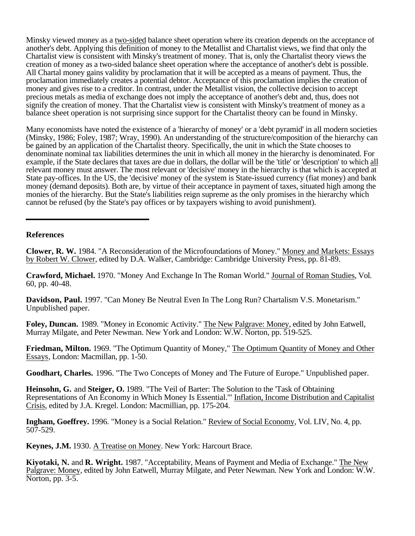Minsky viewed money as a two-sided balance sheet operation where its creation depends on the acceptance of another's debt. Applying this definition of money to the Metallist and Chartalist views, we find that only the Chartalist view is consistent with Minsky's treatment of money. That is, only the Chartalist theory views the creation of money as a two-sided balance sheet operation where the acceptance of another's debt is possible. All Chartal money gains validity by proclamation that it will be accepted as a means of payment. Thus, the proclamation immediately creates a potential debtor. Acceptance of this proclamation implies the creation of money and gives rise to a creditor. In contrast, under the Metallist vision, the collective decision to accept precious metals as media of exchange does not imply the acceptance of another's debt and, thus, does not signify the creation of money. That the Chartalist view is consistent with Minsky's treatment of money as a balance sheet operation is not surprising since support for the Chartalist theory can be found in Minsky.

Many economists have noted the existence of a 'hierarchy of money' or a 'debt pyramid' in all modern societies (Minsky, 1986; Foley, 1987; Wray, 1990). An understanding of the structure/composition of the hierarchy can be gained by an application of the Chartalist theory. Specifically, the unit in which the State chooses to denominate nominal tax liabilities determines the unit in which all money in the hierarchy is denominated. For example, if the State declares that taxes are due in dollars, the dollar will be the 'title' or 'description' to which all relevant money must answer. The most relevant or 'decisive' money in the hierarchy is that which is accepted at State pay-offices. In the US, the 'decisive' money of the system is State-issued currency (fiat money) and bank money (demand deposits). Both are, by virtue of their acceptance in payment of taxes, situated high among the monies of the hierarchy. But the State's liabilities reign supreme as the only promises in the hierarchy which cannot be refused (by the State's pay offices or by taxpayers wishing to avoid punishment).

#### **References**

**Clower, R. W.** 1984. "A Reconsideration of the Microfoundations of Money." Money and Markets: Essays by Robert W. Clower, edited by D.A. Walker, Cambridge: Cambridge University Press, pp. 81-89.

**Crawford, Michael.** 1970. "Money And Exchange In The Roman World." Journal of Roman Studies, Vol. 60, pp. 40-48.

**Davidson, Paul.** 1997. "Can Money Be Neutral Even In The Long Run? Chartalism V.S. Monetarism." Unpublished paper.

**Foley, Duncan.** 1989. "Money in Economic Activity." The New Palgrave: Money, edited by John Eatwell, Murray Milgate, and Peter Newman. New York and London: W.W. Norton, pp. 519-525.

**Friedman, Milton.** 1969. "The Optimum Quantity of Money," The Optimum Quantity of Money and Other Essays, London: Macmillan, pp. 1-50.

**Goodhart, Charles.** 1996. "The Two Concepts of Money and The Future of Europe." Unpublished paper.

**Heinsohn, G.** and **Steiger, O.** 1989. "The Veil of Barter: The Solution to the 'Task of Obtaining Representations of An Economy in Which Money Is Essential.'" Inflation, Income Distribution and Capitalist Crisis, edited by J.A. Kregel. London: Macmillian, pp. 175-204.

**Ingham, Goeffrey.** 1996. "Money is a Social Relation." Review of Social Economy, Vol. LIV, No. 4, pp. 507-529.

**Keynes, J.M.** 1930. A Treatise on Money. New York: Harcourt Brace.

**Kiyotaki, N.** and **R. Wright.** 1987. "Acceptability, Means of Payment and Media of Exchange." The New Palgrave: Money, edited by John Eatwell, Murray Milgate, and Peter Newman. New York and London: W.W. Norton, pp. 3-5.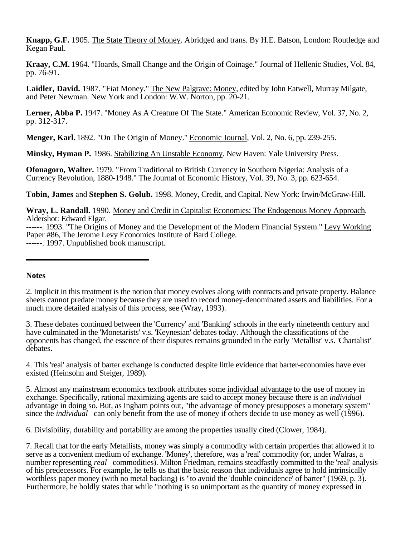**Knapp, G.F.** 1905. The State Theory of Money. Abridged and trans. By H.E. Batson, London: Routledge and Kegan Paul.

**Kraay, C.M.** 1964. "Hoards, Small Change and the Origin of Coinage." Journal of Hellenic Studies, Vol. 84, pp. 76-91.

**Laidler, David.** 1987. "Fiat Money." The New Palgrave: Money, edited by John Eatwell, Murray Milgate, and Peter Newman. New York and London: W.W. Norton, pp. 20-21.

**Lerner, Abba P.** 1947. "Money As A Creature Of The State." American Economic Review, Vol. 37, No. 2, pp. 312-317.

**Menger, Karl.** 1892. "On The Origin of Money." Economic Journal, Vol. 2, No. 6, pp. 239-255.

**Minsky, Hyman P.** 1986. Stabilizing An Unstable Economy. New Haven: Yale University Press.

**Ofonagoro, Walter.** 1979. "From Traditional to British Currency in Southern Nigeria: Analysis of a Currency Revolution, 1880-1948." The Journal of Economic History, Vol. 39, No. 3, pp. 623-654.

**Tobin, James** and **Stephen S. Golub.** 1998. Money, Credit, and Capital. New York: Irwin/McGraw-Hill.

**Wray, L. Randall.** 1990. Money and Credit in Capitalist Economies: The Endogenous Money Approach. Aldershot: Edward Elgar.

------. 1993. "The Origins of Money and the Development of the Modern Financial System." Levy Working Paper #86, The Jerome Levy Economics Institute of Bard College.

------. 1997. Unpublished book manuscript.

#### **Notes**

3. These debates continued between the 'Currency' and 'Banking' schools in the early nineteenth century and have culminated in the 'Monetarists' v.s. 'Keynesian' debates today. Although the classifications of the opponents has changed, the essence of their disputes remains grounded in the early 'Metallist' v.s. 'Chartalist' debates.

4. This 'real' analysis of barter exchange is conducted despite little evidence that barter-economies have ever existed (Heinsohn and Steiger, 1989).

5. Almost any mainstream economics textbook attributes some individual advantage to the use of money in exchange. Specifically, rational maximizing agents are said to accept money because there is an *individual* advantage in doing so. But, as Ingham points out, "the advantage of money presupposes a monetary system" since the *individual* can only benefit from the use of money if others decide to use money as well (1996).

6. Divisibility, durability and portability are among the properties usually cited (Clower, 1984).

7. Recall that for the early Metallists, money was simply a commodity with certain properties that allowed it to serve as a convenient medium of exchange. 'Money', therefore, was a 'real' commodity (or, under Walras, a number representing *real* commodities). Milton Friedman, remains steadfastly committed to the 'real' analysis of his predecessors. For example, he tells us that the basic reason that individuals agree to hold intrinsically worthless paper money (with no metal backing) is "to avoid the 'double coincidence' of barter" (1969, p. 3). Furthermore, he boldly states that while "nothing is so unimportant as the quantity of money expressed in

<sup>2.</sup> Implicit in this treatment is the notion that money evolves along with contracts and private property. Balance sheets cannot predate money because they are used to record money-denominated assets and liabilities. For a much more detailed analysis of this process, see (Wray, 1993).